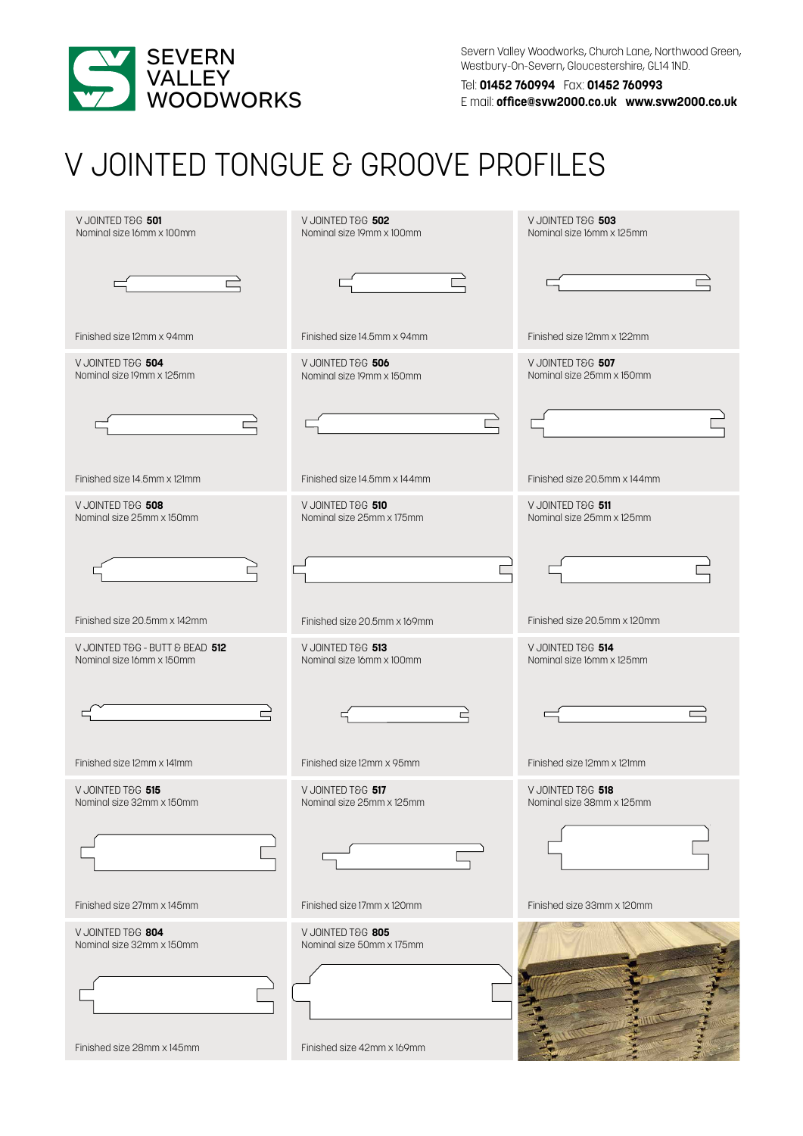

Severn Valley Woodworks, Church Lane, Northwood Green, Westbury-0n-Severn, Gloucestershire, GL14 1ND.

Tel: **01452 760994** Fax: **01452 760993** E mail: **office@svw2000.co.uk www.svw2000.co.uk**

## V JOINTED TONGUE & GROOVE PROFILES

| V JOINTED T&G 501<br>Nominal size 16mm x 100mm               | V JOINTED T&G 502<br>Nominal size 19mm x 100mm | V JOINTED T&G 503<br>Nominal size 16mm x 125mm |
|--------------------------------------------------------------|------------------------------------------------|------------------------------------------------|
|                                                              |                                                |                                                |
| Finished size 12mm x 94mm                                    | Finished size 14.5mm x 94mm                    | Finished size 12mm x 122mm                     |
| V JOINTED T&G 504<br>Nominal size 19mm x 125mm               | V JOINTED T&G 506<br>Nominal size 19mm x 150mm | V JOINTED T&G 507<br>Nominal size 25mm x 150mm |
|                                                              |                                                |                                                |
| Finished size 14.5mm x 121mm                                 | Finished size 14.5mm x 144mm                   | Finished size 20.5mm x 144mm                   |
| V JOINTED T&G 508<br>Nominal size 25mm x 150mm               | V JOINTED T&G 510<br>Nominal size 25mm x 175mm | V JOINTED T&G 511<br>Nominal size 25mm x 125mm |
|                                                              |                                                |                                                |
| Finished size 20.5mm x 142mm                                 | Finished size 20.5mm x 169mm                   | Finished size 20.5mm x 120mm                   |
| V JOINTED T&G - BUTT & BEAD 512<br>Nominal size 16mm x 150mm | V JOINTED T&G 513<br>Nominal size 16mm x 100mm | V JOINTED T&G 514<br>Nominal size 16mm x 125mm |
| $\Rightarrow$                                                | 己                                              |                                                |
| Finished size 12mm x 141mm                                   | Finished size 12mm x 95mm                      | Finished size 12mm x 121mm                     |
| V JOINTED T&G 515<br>Nominal size 32mm x 150mm               | V JOINTED T&G 517<br>Nominal size 25mm x 125mm | V JOINTED T&G 518<br>Nominal size 38mm x 125mm |
|                                                              |                                                |                                                |
| Finished size 27mm x 145mm                                   | Finished size 17mm x 120mm                     | Finished size 33mm x 120mm                     |
| V JOINTED T&G 804<br>Nominal size 32mm x 150mm               | V JOINTED T&G 805<br>Nominal size 50mm x 175mm |                                                |
| Finished size 28mm x 145mm                                   | Finished size 42mm x 169mm                     |                                                |